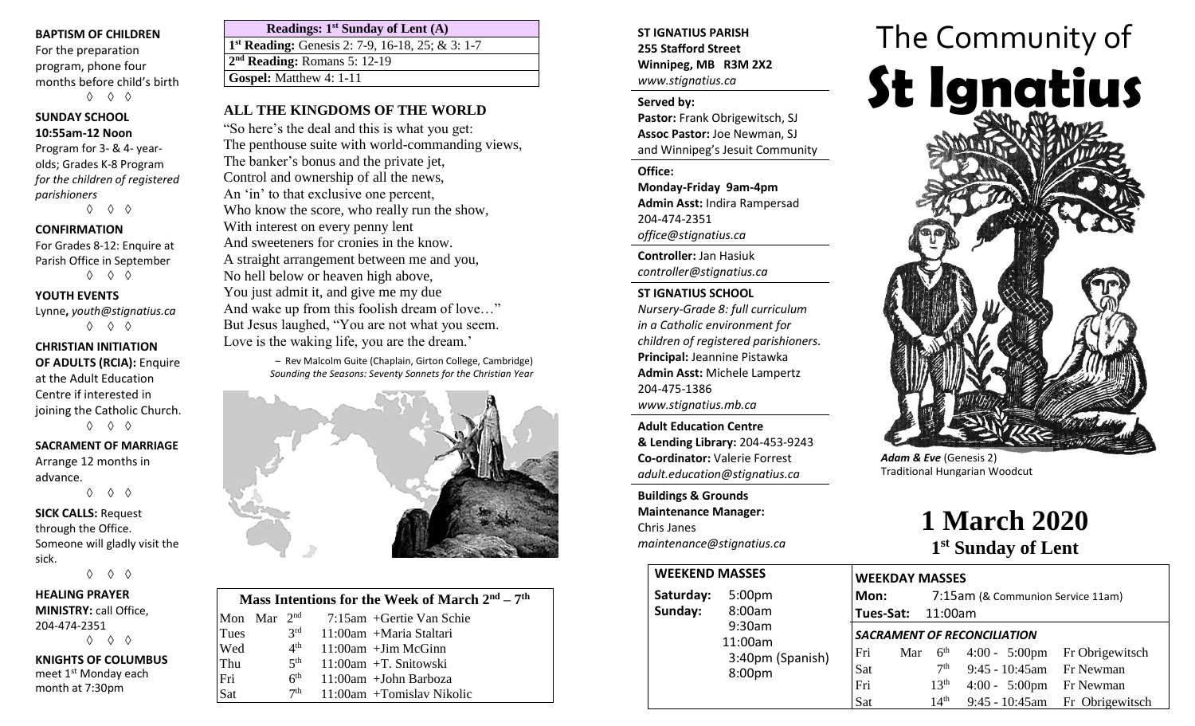#### **BAPTISM OF CHILDREN**

For the preparation program, phone four months before child's birth ◊ ◊ ◊

#### **SUNDAY SCHOOL 10:55am-12 Noon**

Program for 3- & 4- yearolds; Grades K-8 Program *for the children of registered parishioners*

◊ ◊ ◊

#### **CONFIRMATION**

For Grades 8-12: Enquire at Parish Office in September ◊ ◊ ◊

**YOUTH EVENTS**

Lynne**,** *youth@stignatius.ca* ◊ ◊ ◊

**CHRISTIAN INITIATION OF ADULTS (RCIA):** Enquire at the Adult Education Centre if interested in joining the Catholic Church. ◊ ◊ ◊

#### **SACRAMENT OF MARRIAGE** Arrange 12 months in advance.

◊ ◊ ◊

**SICK CALLS:** Request through the Office. Someone will gladly visit the sick. ◊ ◊ ◊

**HEALING PRAYER MINISTRY:** call Office, 204-474-2351 ◊ ◊ ◊ **KNIGHTS OF COLUMBUS** meet 1st Monday each month at 7:30pm

| Readings: $1st$ Sunday of Lent (A)                           |
|--------------------------------------------------------------|
| 1 <sup>st</sup> Reading: Genesis 2: 7-9, 16-18, 25; & 3: 1-7 |
| $2nd$ Reading: Romans 5: 12-19                               |
| <b>Gospel:</b> Matthew 4: 1-11                               |
|                                                              |

"So here's the deal and this is what you get: The penthouse suite with world-commanding views, The banker's bonus and the private jet, Control and ownership of all the news, An 'in' to that exclusive one percent, Who know the score, who really run the show, With interest on every penny lent And sweeteners for cronies in the know. A straight arrangement between me and you, No hell below or heaven high above, You just admit it, and give me my due And wake up from this foolish dream of love…" But Jesus laughed, "You are not what you seem. Love is the waking life, you are the dream.'

> – Rev Malcolm Guite (Chaplain, Girton College, Cambridge) *Sounding the Seasons: Seventy Sonnets for the Christian Year*



| Mass Intentions for the Week of March $2nd - 7th$ |  |                 |                              |  |  |  |  |  |  |
|---------------------------------------------------|--|-----------------|------------------------------|--|--|--|--|--|--|
| Mon Mar $2nd$                                     |  |                 | $7:15$ am + Gertie Van Schie |  |  |  |  |  |  |
| Tues                                              |  | 2 <sup>rd</sup> | 11:00am +Maria Staltari      |  |  |  |  |  |  |
| Wed                                               |  | 4 <sup>th</sup> | $11:00$ am + Jim McGinn      |  |  |  |  |  |  |
| Thu                                               |  | 5 <sup>th</sup> | $11:00$ am +T. Snitowski     |  |  |  |  |  |  |
| Fri                                               |  | 6 <sup>th</sup> | $11:00$ am +John Barboza     |  |  |  |  |  |  |
| Sat                                               |  | 7 <sup>th</sup> | $11:00$ am +Tomislav Nikolic |  |  |  |  |  |  |

### **ST IGNATIUS PARISH 255 Stafford Street Winnipeg, MB R3M 2X2** *www.stignatius.ca*

#### **Served by:**

**Pastor:** Frank Obrigewitsch, SJ **Assoc Pastor:** Joe Newman, SJ and Winnipeg's Jesuit Community

#### **Office:**

**Monday-Friday 9am-4pm Admin Asst:** Indira Rampersad 204-474-2351 *office@stignatius.ca*

**Controller:** Jan Hasiuk *controller@stignatius.ca*

#### **ST IGNATIUS SCHOOL**

*Nursery-Grade 8: full curriculum in a Catholic environment for children of registered parishioners.* **Principal:** Jeannine Pistawka **Admin Asst:** Michele Lampertz 204-475-1386 *www.stignatius.mb.ca*

**Adult Education Centre & Lending Library:** 204-453-9243 **Co-ordinator:** Valerie Forrest *adult.education@stignatius.ca*

**Buildings & Grounds Maintenance Manager:**  Chris Janes *maintenance@stignatius.ca*

|           | <b>WEEKEND MASSES</b> |  |  |  |  |  |
|-----------|-----------------------|--|--|--|--|--|
| Saturday: | 5:00 <sub>pm</sub>    |  |  |  |  |  |
| Sunday:   | 8:00am                |  |  |  |  |  |
|           | 9:30am                |  |  |  |  |  |
|           | 11:00am               |  |  |  |  |  |
|           | 3:40pm (Spanish)      |  |  |  |  |  |
|           | 8:00pm                |  |  |  |  |  |
|           |                       |  |  |  |  |  |
|           |                       |  |  |  |  |  |



*Adam & Eve* (Genesis 2) Traditional Hungarian Woodcut

# **1 March 2020 1 st Sunday of Lent**

| <b>SES</b>    | <b>WEEKDAY MASSES</b>                     |     |                   |                            |                                  |  |  |
|---------------|-------------------------------------------|-----|-------------------|----------------------------|----------------------------------|--|--|
| 0pm           | Mon:<br>7:15am (& Communion Service 11am) |     |                   |                            |                                  |  |  |
| 0am           |                                           |     | Tues-Sat: 11:00am |                            |                                  |  |  |
| 0am<br>0am    | <b>SACRAMENT OF RECONCILIATION</b>        |     |                   |                            |                                  |  |  |
| Opm (Spanish) | Fri                                       | Mar | 6 <sup>th</sup>   |                            | $4:00 - 5:00$ pm Fr Obrigewitsch |  |  |
| 0pm           | Sat                                       |     | 7 <sup>th</sup>   | 9:45 - 10:45am Fr Newman   |                                  |  |  |
|               | Fri                                       |     | 13 <sup>th</sup>  | $4:00 - 5:00$ pm Fr Newman |                                  |  |  |
|               | Sat                                       |     | 14 <sup>th</sup>  |                            | 9:45 - 10:45am Fr Obrigewitsch   |  |  |